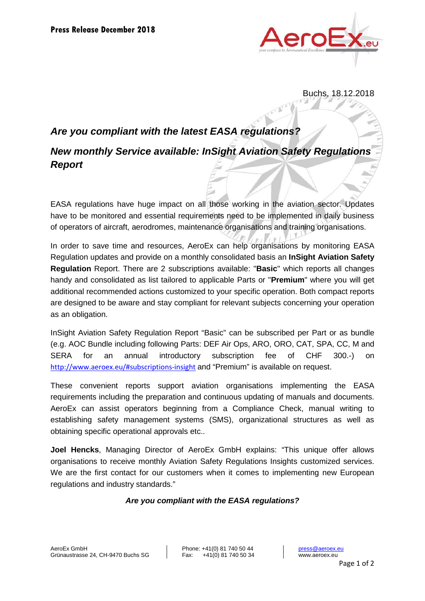

Buchs, 18.12.2018

## *Are you compliant with the latest EASA regulations?*

# *New monthly Service available: InSight Aviation Safety Regulations Report*

EASA regulations have huge impact on all those working in the aviation sector. Updates have to be monitored and essential requirements need to be implemented in daily business of operators of aircraft, aerodromes, maintenance organisations and training organisations.

In order to save time and resources, AeroEx can help organisations by monitoring EASA Regulation updates and provide on a monthly consolidated basis an **InSight Aviation Safety Regulation** Report. There are 2 subscriptions available: "**Basic**" which reports all changes handy and consolidated as list tailored to applicable Parts or "**Premium**" where you will get additional recommended actions customized to your specific operation. Both compact reports are designed to be aware and stay compliant for relevant subjects concerning your operation as an obligation.

InSight Aviation Safety Regulation Report "Basic" can be subscribed per Part or as bundle (e.g. AOC Bundle including following Parts: DEF Air Ops, ARO, ORO, CAT, SPA, CC, M and SERA for an annual introductory subscription fee of CHF 300.-) on <http://www.aeroex.eu/#subscriptions-insight> and "Premium" is available on request.

These convenient reports support aviation organisations implementing the EASA requirements including the preparation and continuous updating of manuals and documents. AeroEx can assist operators beginning from a Compliance Check, manual writing to establishing safety management systems (SMS), organizational structures as well as obtaining specific operational approvals etc..

**Joel Hencks**, Managing Director of AeroEx GmbH explains: "This unique offer allows organisations to receive monthly Aviation Safety Regulations Insights customized services. We are the first contact for our customers when it comes to implementing new European regulations and industry standards."

### *Are you compliant with the EASA regulations?*